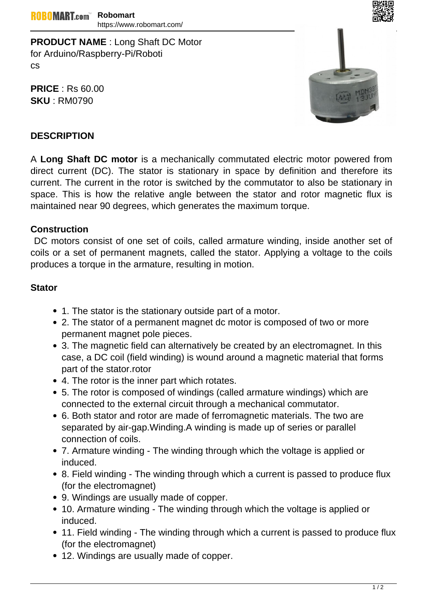**PRODUCT NAME** : Long Shaft DC Motor for Arduino/Raspberry-Pi/Roboti cs

**PRICE** : Rs 60.00 **SKU** : RM0790



## **DESCRIPTION**

A **Long Shaft DC motor** is a mechanically commutated electric motor powered from direct current (DC). The stator is stationary in space by definition and therefore its current. The current in the rotor is switched by the commutator to also be stationary in space. This is how the relative angle between the stator and rotor magnetic flux is maintained near 90 degrees, which generates the maximum torque.

## **Construction**

 DC motors consist of one set of coils, called armature winding, inside another set of coils or a set of permanent magnets, called the stator. Applying a voltage to the coils produces a torque in the armature, resulting in motion.

## **Stator**

- 1. The stator is the stationary outside part of a motor.
- 2. The stator of a permanent magnet dc motor is composed of two or more permanent magnet pole pieces.
- 3. The magnetic field can alternatively be created by an electromagnet. In this case, a DC coil (field winding) is wound around a magnetic material that forms part of the stator.rotor
- 4. The rotor is the inner part which rotates.
- 5. The rotor is composed of windings (called armature windings) which are connected to the external circuit through a mechanical commutator.
- 6. Both stator and rotor are made of ferromagnetic materials. The two are separated by air-gap.Winding.A winding is made up of series or parallel connection of coils.
- 7. Armature winding The winding through which the voltage is applied or induced.
- 8. Field winding The winding through which a current is passed to produce flux (for the electromagnet)
- 9. Windings are usually made of copper.
- 10. Armature winding The winding through which the voltage is applied or induced.
- 11. Field winding The winding through which a current is passed to produce flux (for the electromagnet)
- 12. Windings are usually made of copper.